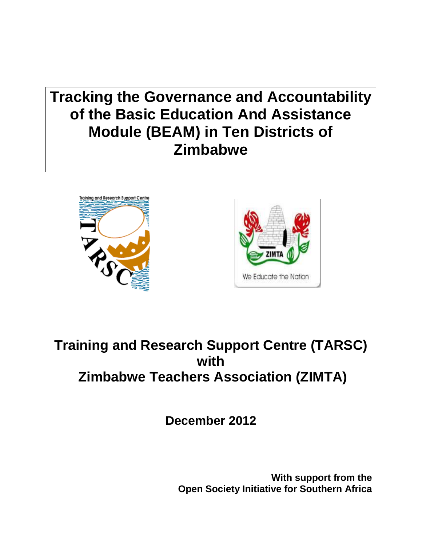**Tracking the Governance and Accountability of the Basic Education And Assistance Module (BEAM) in Ten Districts of Zimbabwe** 





# **Training and Research Support Centre (TARSC) with Zimbabwe Teachers Association (ZIMTA)**

**December 2012**

**With support from the Open Society Initiative for Southern Africa**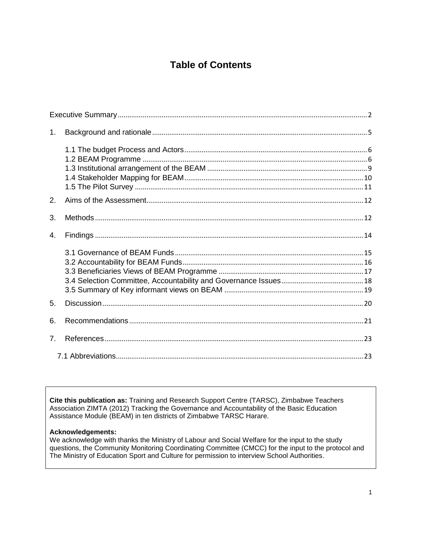# **Table of Contents**

| 1.             |  |
|----------------|--|
|                |  |
| 2.             |  |
| 3.             |  |
| $\mathbf{4}$ . |  |
|                |  |
| 5.             |  |
| 6.             |  |
| 7 <sub>1</sub> |  |
|                |  |

**Cite this publication as:** Training and Research Support Centre (TARSC), Zimbabwe Teachers Association ZIMTA (2012) Tracking the Governance and Accountability of the Basic Education Assistance Module (BEAM) in ten districts of Zimbabwe TARSC Harare.

#### **Acknowledgements:**

We acknowledge with thanks the Ministry of Labour and Social Welfare for the input to the study questions, the Community Monitoring Coordinating Committee (CMCC) for the input to the protocol and The Ministry of Education Sport and Culture for permission to interview School Authorities.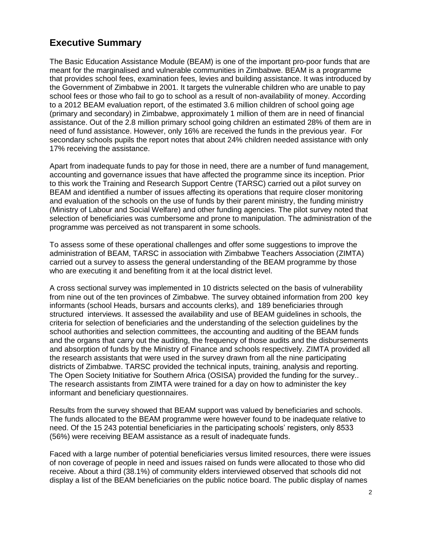# <span id="page-2-0"></span>**Executive Summary**

The Basic Education Assistance Module (BEAM) is one of the important pro-poor funds that are meant for the marginalised and vulnerable communities in Zimbabwe. BEAM is a programme that provides school fees, examination fees, levies and building assistance. It was introduced by the Government of Zimbabwe in 2001. It targets the vulnerable children who are unable to pay school fees or those who fail to go to school as a result of non-availability of money. According to a 2012 BEAM evaluation report, of the estimated 3.6 million children of school going age (primary and secondary) in Zimbabwe, approximately 1 million of them are in need of financial assistance. Out of the 2.8 million primary school going children an estimated 28% of them are in need of fund assistance. However, only 16% are received the funds in the previous year. For secondary schools pupils the report notes that about 24% children needed assistance with only 17% receiving the assistance.

Apart from inadequate funds to pay for those in need, there are a number of fund management, accounting and governance issues that have affected the programme since its inception. Prior to this work the Training and Research Support Centre (TARSC) carried out a pilot survey on BEAM and identified a number of issues affecting its operations that require closer monitoring and evaluation of the schools on the use of funds by their parent ministry, the funding ministry (Ministry of Labour and Social Welfare) and other funding agencies. The pilot survey noted that selection of beneficiaries was cumbersome and prone to manipulation. The administration of the programme was perceived as not transparent in some schools.

To assess some of these operational challenges and offer some suggestions to improve the administration of BEAM, TARSC in association with Zimbabwe Teachers Association (ZIMTA) carried out a survey to assess the general understanding of the BEAM programme by those who are executing it and benefiting from it at the local district level.

A cross sectional survey was implemented in 10 districts selected on the basis of vulnerability from nine out of the ten provinces of Zimbabwe. The survey obtained information from 200 key informants (school Heads, bursars and accounts clerks), and 189 beneficiaries through structured interviews. It assessed the availability and use of BEAM guidelines in schools, the criteria for selection of beneficiaries and the understanding of the selection guidelines by the school authorities and selection committees, the accounting and auditing of the BEAM funds and the organs that carry out the auditing, the frequency of those audits and the disbursements and absorption of funds by the Ministry of Finance and schools respectively. ZIMTA provided all the research assistants that were used in the survey drawn from all the nine participating districts of Zimbabwe. TARSC provided the technical inputs, training, analysis and reporting. The Open Society Initiative for Southern Africa (OSISA) provided the funding for the survey.. The research assistants from ZIMTA were trained for a day on how to administer the key informant and beneficiary questionnaires.

Results from the survey showed that BEAM support was valued by beneficiaries and schools. The funds allocated to the BEAM programme were however found to be inadequate relative to need. Of the 15 243 potential beneficiaries in the participating schools' registers, only 8533 (56%) were receiving BEAM assistance as a result of inadequate funds.

Faced with a large number of potential beneficiaries versus limited resources, there were issues of non coverage of people in need and issues raised on funds were allocated to those who did receive. About a third (38.1%) of community elders interviewed observed that schools did not display a list of the BEAM beneficiaries on the public notice board. The public display of names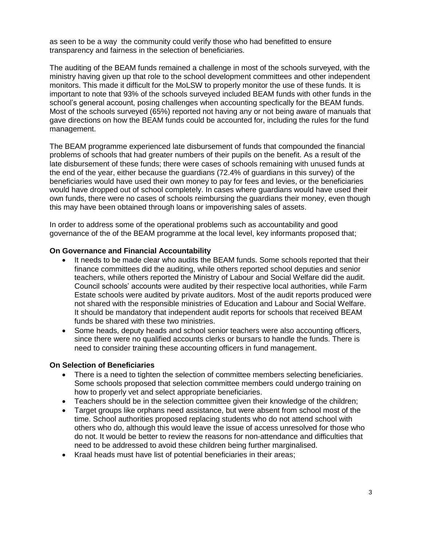as seen to be a way the community could verify those who had benefitted to ensure transparency and fairness in the selection of beneficiaries.

The auditing of the BEAM funds remained a challenge in most of the schools surveyed, with the ministry having given up that role to the school development committees and other independent monitors. This made it difficult for the MoLSW to properly monitor the use of these funds. It is important to note that 93% of the schools surveyed included BEAM funds with other funds in the school's general account, posing challenges when accounting specfically for the BEAM funds. Most of the schools surveyed (65%) reported not having any or not being aware of manuals that gave directions on how the BEAM funds could be accounted for, including the rules for the fund management.

The BEAM programme experienced late disbursement of funds that compounded the financial problems of schools that had greater numbers of their pupils on the benefit. As a result of the late disbursement of these funds; there were cases of schools remaining with unused funds at the end of the year, either because the guardians (72.4% of guardians in this survey) of the beneficiaries would have used their own money to pay for fees and levies, or the beneficiaries would have dropped out of school completely. In cases where guardians would have used their own funds, there were no cases of schools reimbursing the guardians their money, even though this may have been obtained through loans or impoverishing sales of assets.

In order to address some of the operational problems such as accountability and good governance of the of the BEAM programme at the local level, key informants proposed that;

#### **On Governance and Financial Accountability**

- It needs to be made clear who audits the BEAM funds. Some schools reported that their finance committees did the auditing, while others reported school deputies and senior teachers, while others reported the Ministry of Labour and Social Welfare did the audit. Council schools' accounts were audited by their respective local authorities, while Farm Estate schools were audited by private auditors. Most of the audit reports produced were not shared with the responsible ministries of Education and Labour and Social Welfare. It should be mandatory that independent audit reports for schools that received BEAM funds be shared with these two ministries.
- Some heads, deputy heads and school senior teachers were also accounting officers, since there were no qualified accounts clerks or bursars to handle the funds. There is need to consider training these accounting officers in fund management.

#### **On Selection of Beneficiaries**

- There is a need to tighten the selection of committee members selecting beneficiaries. Some schools proposed that selection committee members could undergo training on how to properly vet and select appropriate beneficiaries.
- Teachers should be in the selection committee given their knowledge of the children;
- Target groups like orphans need assistance, but were absent from school most of the time. School authorities proposed replacing students who do not attend school with others who do, although this would leave the issue of access unresolved for those who do not. It would be better to review the reasons for non-attendance and difficulties that need to be addressed to avoid these children being further marginalised.
- Kraal heads must have list of potential beneficiaries in their areas;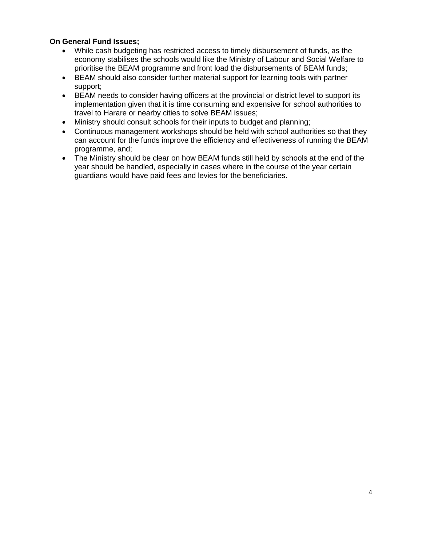### **On General Fund Issues;**

- While cash budgeting has restricted access to timely disbursement of funds, as the economy stabilises the schools would like the Ministry of Labour and Social Welfare to prioritise the BEAM programme and front load the disbursements of BEAM funds;
- BEAM should also consider further material support for learning tools with partner support;
- BEAM needs to consider having officers at the provincial or district level to support its implementation given that it is time consuming and expensive for school authorities to travel to Harare or nearby cities to solve BEAM issues;
- Ministry should consult schools for their inputs to budget and planning;
- Continuous management workshops should be held with school authorities so that they can account for the funds improve the efficiency and effectiveness of running the BEAM programme, and;
- The Ministry should be clear on how BEAM funds still held by schools at the end of the year should be handled, especially in cases where in the course of the year certain guardians would have paid fees and levies for the beneficiaries.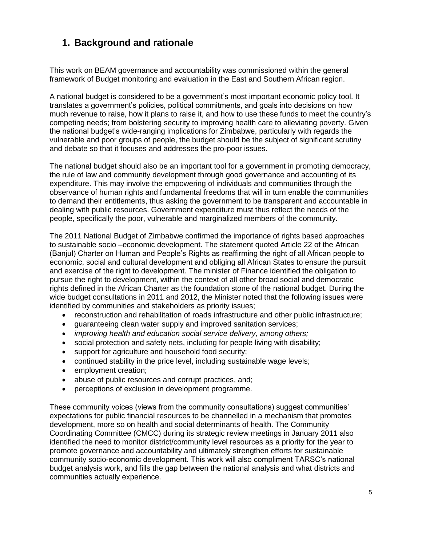# <span id="page-5-0"></span>**1. Background and rationale**

This work on BEAM governance and accountability was commissioned within the general framework of Budget monitoring and evaluation in the East and Southern African region.

A national budget is considered to be a government's most important economic policy tool. It translates a government's policies, political commitments, and goals into decisions on how much revenue to raise, how it plans to raise it, and how to use these funds to meet the country's competing needs; from bolstering security to improving health care to alleviating poverty. Given the national budget's wide-ranging implications for Zimbabwe, particularly with regards the vulnerable and poor groups of people, the budget should be the subject of significant scrutiny and debate so that it focuses and addresses the pro-poor issues.

The national budget should also be an important tool for a government in promoting democracy, the rule of law and community development through good governance and accounting of its expenditure. This may involve the empowering of individuals and communities through the observance of human rights and fundamental freedoms that will in turn enable the communities to demand their entitlements, thus asking the government to be transparent and accountable in dealing with public resources. Government expenditure must thus reflect the needs of the people, specifically the poor, vulnerable and marginalized members of the community.

The 2011 National Budget of Zimbabwe confirmed the importance of rights based approaches to sustainable socio –economic development. The statement quoted Article 22 of the African (Banjul) Charter on Human and People's Rights as reaffirming the right of all African people to economic, social and cultural development and obliging all African States to ensure the pursuit and exercise of the right to development. The minister of Finance identified the obligation to pursue the right to development, within the context of all other broad social and democratic rights defined in the African Charter as the foundation stone of the national budget. During the wide budget consultations in 2011 and 2012, the Minister noted that the following issues were identified by communities and stakeholders as priority issues;

- reconstruction and rehabilitation of roads infrastructure and other public infrastructure;
- guaranteeing clean water supply and improved sanitation services;
- *improving health and education social service delivery, among others;*
- social protection and safety nets, including for people living with disability;
- support for agriculture and household food security;
- continued stability in the price level, including sustainable wage levels;
- **e** employment creation;
- abuse of public resources and corrupt practices, and;
- perceptions of exclusion in development programme.

These community voices (views from the community consultations) suggest communities' expectations for public financial resources to be channelled in a mechanism that promotes development, more so on health and social determinants of health. The Community Coordinating Committee (CMCC) during its strategic review meetings in January 2011 also identified the need to monitor district/community level resources as a priority for the year to promote governance and accountability and ultimately strengthen efforts for sustainable community socio-economic development. This work will also compliment TARSC's national budget analysis work, and fills the gap between the national analysis and what districts and communities actually experience.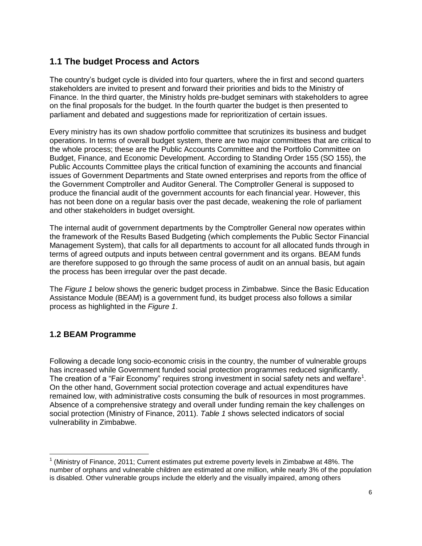# <span id="page-6-0"></span>**1.1 The budget Process and Actors**

The country's budget cycle is divided into four quarters, where the in first and second quarters stakeholders are invited to present and forward their priorities and bids to the Ministry of Finance. In the third quarter, the Ministry holds pre-budget seminars with stakeholders to agree on the final proposals for the budget. In the fourth quarter the budget is then presented to parliament and debated and suggestions made for reprioritization of certain issues.

Every ministry has its own shadow portfolio committee that scrutinizes its business and budget operations. In terms of overall budget system, there are two major committees that are critical to the whole process; these are the Public Accounts Committee and the Portfolio Committee on Budget, Finance, and Economic Development. According to Standing Order 155 (SO 155), the Public Accounts Committee plays the critical function of examining the accounts and financial issues of Government Departments and State owned enterprises and reports from the office of the Government Comptroller and Auditor General. The Comptroller General is supposed to produce the financial audit of the government accounts for each financial year. However, this has not been done on a regular basis over the past decade, weakening the role of parliament and other stakeholders in budget oversight.

The internal audit of government departments by the Comptroller General now operates within the framework of the Results Based Budgeting (which complements the Public Sector Financial Management System), that calls for all departments to account for all allocated funds through in terms of agreed outputs and inputs between central government and its organs. BEAM funds are therefore supposed to go through the same process of audit on an annual basis, but again the process has been irregular over the past decade.

The *Figure 1* below shows the generic budget process in Zimbabwe. Since the Basic Education Assistance Module (BEAM) is a government fund, its budget process also follows a similar process as highlighted in the *Figure 1*.

# <span id="page-6-1"></span>**1.2 BEAM Programme**

 $\overline{\phantom{a}}$ 

Following a decade long socio-economic crisis in the country, the number of vulnerable groups has increased while Government funded social protection programmes reduced significantly. The creation of a "Fair Economy" requires strong investment in social safety nets and welfare<sup>1</sup>. On the other hand, Government social protection coverage and actual expenditures have remained low, with administrative costs consuming the bulk of resources in most programmes. Absence of a comprehensive strategy and overall under funding remain the key challenges on social protection (Ministry of Finance, 2011). *Table 1* shows selected indicators of social vulnerability in Zimbabwe.

<sup>1</sup> (Ministry of Finance, 2011; Current estimates put extreme poverty levels in Zimbabwe at 48%. The number of orphans and vulnerable children are estimated at one million, while nearly 3% of the population is disabled. Other vulnerable groups include the elderly and the visually impaired, among others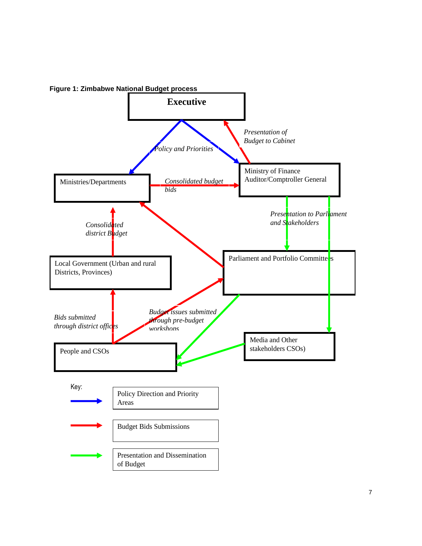

**Figure 1: Zimbabwe National Budget process**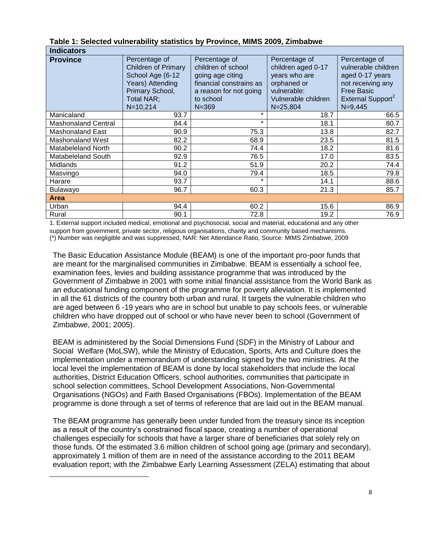|     | Table 1: Selected vulnerability statistics by Province, MIMS 2009, Zimbabwe |  |  |
|-----|-----------------------------------------------------------------------------|--|--|
| . . |                                                                             |  |  |

| <b>Indicators</b>          |                                                                                                                                      |                                                                                                                                        |                                                                                                                           |                                                                                                                                                   |  |  |
|----------------------------|--------------------------------------------------------------------------------------------------------------------------------------|----------------------------------------------------------------------------------------------------------------------------------------|---------------------------------------------------------------------------------------------------------------------------|---------------------------------------------------------------------------------------------------------------------------------------------------|--|--|
| <b>Province</b>            | Percentage of<br><b>Children of Primary</b><br>School Age (6-12<br>Years) Attending<br>Primary School,<br>Total NAR;<br>$N = 10,214$ | Percentage of<br>children of school<br>going age citing<br>financial constrains as<br>a reason for not going<br>to school<br>$N = 369$ | Percentage of<br>children aged 0-17<br>years who are<br>orphaned or<br>vulnerable:<br>Vulnerable children<br>$N = 25,804$ | Percentage of<br>vulnerable children<br>aged 0-17 years<br>not receiving any<br><b>Free Basic</b><br>External Support <sup>2</sup><br>$N = 9,445$ |  |  |
| Manicaland                 | 93.7                                                                                                                                 | $\star$                                                                                                                                | 18.7                                                                                                                      | 66.5                                                                                                                                              |  |  |
| <b>Mashonaland Central</b> | 84.4                                                                                                                                 | $\star$                                                                                                                                | 18.1                                                                                                                      | 80.7                                                                                                                                              |  |  |
| <b>Mashonaland East</b>    | 90.9                                                                                                                                 | 75.3                                                                                                                                   | 13.8                                                                                                                      | 82.7                                                                                                                                              |  |  |
| Mashonaland West           | 82.2                                                                                                                                 | 68.9                                                                                                                                   | 23.5                                                                                                                      | 81.5                                                                                                                                              |  |  |
| Matabeleland North         | 90.2                                                                                                                                 | 74.4                                                                                                                                   | 18.2                                                                                                                      | 81.6                                                                                                                                              |  |  |
| <b>Matabeleland South</b>  | 92.9                                                                                                                                 | 76.5                                                                                                                                   | 17.0                                                                                                                      | 83.5                                                                                                                                              |  |  |
| <b>Midlands</b>            | 91.2                                                                                                                                 | 51.9                                                                                                                                   | 20.2                                                                                                                      | 74.4                                                                                                                                              |  |  |
| Masvingo                   | 94.0                                                                                                                                 | 79.4                                                                                                                                   | 18.5                                                                                                                      | 79.8                                                                                                                                              |  |  |
| Harare                     | 93.7                                                                                                                                 | $\star$                                                                                                                                | 14.1                                                                                                                      | 88.6                                                                                                                                              |  |  |
| Bulawayo                   | 96.7                                                                                                                                 | 60.3                                                                                                                                   | 21.3                                                                                                                      | 85.7                                                                                                                                              |  |  |
| <b>Area</b>                |                                                                                                                                      |                                                                                                                                        |                                                                                                                           |                                                                                                                                                   |  |  |
| Urban                      | 94.4                                                                                                                                 | 60.2                                                                                                                                   | 15.6                                                                                                                      | 86.9                                                                                                                                              |  |  |
| Rural                      | 90.1                                                                                                                                 | 72.8                                                                                                                                   | 19.2                                                                                                                      | 76.9                                                                                                                                              |  |  |

1. External support included medical, emotional and psychosocial, social and material, educational and any other support from government, private sector, religious organisations, charity and community based mechanisms. (\*) Number was negligible and was suppressed, NAR: Net Attendance Ratio, Source: MIMS Zimbabwe, 2009

The Basic Education Assistance Module (BEAM) is one of the important pro-poor funds that are meant for the marginalised communities in Zimbabwe. BEAM is essentially a school fee, examination fees, levies and building assistance programme that was introduced by the Government of Zimbabwe in 2001 with some initial financial assistance from the World Bank as an educational funding component of the programme for poverty alleviation. It is implemented in all the 61 districts of the country both urban and rural. It targets the vulnerable children who are aged between 6 -19 years who are in school but unable to pay schools fees, or vulnerable children who have dropped out of school or who have never been to school (Government of Zimbabwe, 2001; 2005).

BEAM is administered by the Social Dimensions Fund (SDF) in the Ministry of Labour and Social Welfare (MoLSW), while the Ministry of Education, Sports, Arts and Culture does the implementation under a memorandum of understanding signed by the two ministries. At the local level the implementation of BEAM is done by local stakeholders that include the local authorities, District Education Officers, school authorities, communities that participate in school selection committees, School Development Associations, Non-Governmental Organisations (NGOs) and Faith Based Organisations (FBOs). Implementation of the BEAM programme is done through a set of terms of reference that are laid out in the BEAM manual.

The BEAM programme has generally been under funded from the treasury since its inception as a result of the country's constrained fiscal space, creating a number of operational challenges especially for schools that have a larger share of beneficiaries that solely rely on those funds. Of the estimated 3.6 million children of school going age (primary and secondary), approximately 1 million of them are in need of the assistance according to the 2011 BEAM evaluation report; with the Zimbabwe Early Learning Assessment (ZELA) estimating that about

 $\overline{a}$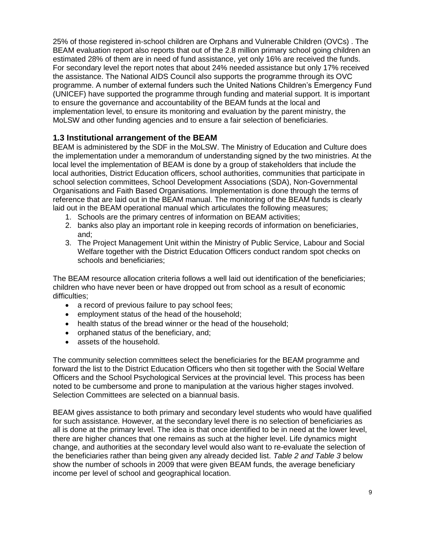25% of those registered in-school children are Orphans and Vulnerable Children (OVCs) . The BEAM evaluation report also reports that out of the 2.8 million primary school going children an estimated 28% of them are in need of fund assistance, yet only 16% are received the funds. For secondary level the report notes that about 24% needed assistance but only 17% received the assistance. The National AIDS Council also supports the programme through its OVC programme. A number of external funders such the United Nations Children's Emergency Fund (UNICEF) have supported the programme through funding and material support. It is important to ensure the governance and accountability of the BEAM funds at the local and implementation level, to ensure its monitoring and evaluation by the parent ministry, the MoLSW and other funding agencies and to ensure a fair selection of beneficiaries.

### <span id="page-9-0"></span>**1.3 Institutional arrangement of the BEAM**

BEAM is administered by the SDF in the MoLSW. The Ministry of Education and Culture does the implementation under a memorandum of understanding signed by the two ministries. At the local level the implementation of BEAM is done by a group of stakeholders that include the local authorities, District Education officers, school authorities, communities that participate in school selection committees, School Development Associations (SDA), Non-Governmental Organisations and Faith Based Organisations. Implementation is done through the terms of reference that are laid out in the BEAM manual. The monitoring of the BEAM funds is clearly laid out in the BEAM operational manual which articulates the following measures;

- 1. Schools are the primary centres of information on BEAM activities;
- 2. banks also play an important role in keeping records of information on beneficiaries, and;
- 3. The Project Management Unit within the Ministry of Public Service, Labour and Social Welfare together with the District Education Officers conduct random spot checks on schools and beneficiaries;

The BEAM resource allocation criteria follows a well laid out identification of the beneficiaries; children who have never been or have dropped out from school as a result of economic difficulties;

- a record of previous failure to pay school fees;
- employment status of the head of the household;
- health status of the bread winner or the head of the household:
- orphaned status of the beneficiary, and;
- assets of the household.

The community selection committees select the beneficiaries for the BEAM programme and forward the list to the District Education Officers who then sit together with the Social Welfare Officers and the School Psychological Services at the provincial level. This process has been noted to be cumbersome and prone to manipulation at the various higher stages involved. Selection Committees are selected on a biannual basis.

BEAM gives assistance to both primary and secondary level students who would have qualified for such assistance. However, at the secondary level there is no selection of beneficiaries as all is done at the primary level. The idea is that once identified to be in need at the lower level, there are higher chances that one remains as such at the higher level. Life dynamics might change, and authorities at the secondary level would also want to re-evaluate the selection of the beneficiaries rather than being given any already decided list. *Table 2 and Table 3* below show the number of schools in 2009 that were given BEAM funds, the average beneficiary income per level of school and geographical location.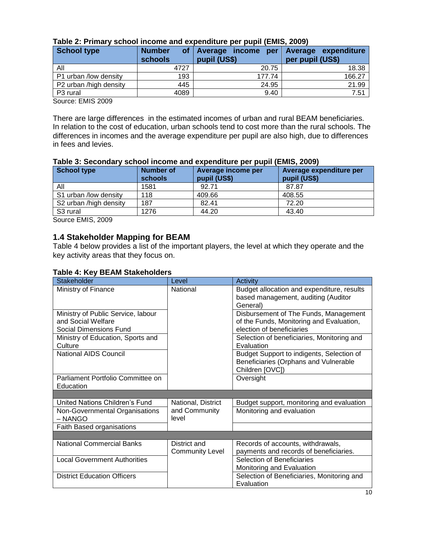| Table 2: Primary school income and expenditure per pupil (EMIS, 2009) |  |  |                                         |  |
|-----------------------------------------------------------------------|--|--|-----------------------------------------|--|
| School type                                                           |  |  | Number of Average income per Average ex |  |

| School type            | <b>Number</b><br>οf<br>schools | Herrage income<br><b>per</b><br>pupil (US\$) | Average expenditure<br>per pupil (US\$) |
|------------------------|--------------------------------|----------------------------------------------|-----------------------------------------|
| All                    | 4727                           | 20.75                                        | 18.38                                   |
| P1 urban /low density  | 193                            | 177.74                                       | 166.27                                  |
| P2 urban /high density | 445                            | 24.95                                        | 21.99                                   |
| P <sub>3</sub> rural   | 4089                           | 9.40                                         | 7.51                                    |

Source: EMIS 2009

There are large differences in the estimated incomes of urban and rural BEAM beneficiaries. In relation to the cost of education, urban schools tend to cost more than the rural schools. The differences in incomes and the average expenditure per pupil are also high, due to differences in fees and levies.

|                        | <u>UUTUUTIITU UTU VAPUTURUU PUI PUPII (LIIIIU; LUUU)</u> |                                    |                                         |  |  |  |
|------------------------|----------------------------------------------------------|------------------------------------|-----------------------------------------|--|--|--|
| School type            | <b>Number of</b><br>schools                              | Average income per<br>pupil (US\$) | Average expenditure per<br>pupil (US\$) |  |  |  |
| All                    | 1581                                                     | 92.71                              | 87.87                                   |  |  |  |
| S1 urban /low density  | 118                                                      | 409.66                             | 408.55                                  |  |  |  |
| S2 urban /high density | 187                                                      | 82.41                              | 72.20                                   |  |  |  |
| S <sub>3</sub> rural   | 1276                                                     | 44.20                              | 43.40                                   |  |  |  |

#### **Table 3: Secondary school income and expenditure per pupil (EMIS, 2009)**

Source EMIS, 2009

# <span id="page-10-0"></span>**1.4 Stakeholder Mapping for BEAM**

Table 4 below provides a list of the important players, the level at which they operate and the key activity areas that they focus on.

#### **Table 4: Key BEAM Stakeholders**

| Stakeholder                                  | Level                  | Activity                                                                          |
|----------------------------------------------|------------------------|-----------------------------------------------------------------------------------|
| Ministry of Finance                          | National               | Budget allocation and expenditure, results<br>based management, auditing (Auditor |
|                                              |                        | General)                                                                          |
| Ministry of Public Service, labour           |                        | Disbursement of The Funds, Management                                             |
| and Social Welfare                           |                        | of the Funds, Monitoring and Evaluation,<br>election of beneficiaries             |
| Social Dimensions Fund                       |                        |                                                                                   |
| Ministry of Education, Sports and<br>Culture |                        | Selection of beneficiaries, Monitoring and<br>Evaluation                          |
| <b>National AIDS Council</b>                 |                        | Budget Support to indigents, Selection of                                         |
|                                              |                        | Beneficiaries (Orphans and Vulnerable                                             |
|                                              |                        | Children [OVC])                                                                   |
| Parliament Portfolio Committee on            |                        | Oversight                                                                         |
| Education                                    |                        |                                                                                   |
|                                              |                        |                                                                                   |
| United Nations Children's Fund               | National, District     | Budget support, monitoring and evaluation                                         |
| Non-Governmental Organisations               | and Community          | Monitoring and evaluation                                                         |
| $-$ NANGO                                    | level                  |                                                                                   |
| Faith Based organisations                    |                        |                                                                                   |
|                                              |                        |                                                                                   |
| National Commercial Banks                    | District and           | Records of accounts, withdrawals,                                                 |
|                                              | <b>Community Level</b> | payments and records of beneficiaries.                                            |
| <b>Local Government Authorities</b>          |                        | Selection of Beneficiaries                                                        |
|                                              |                        | Monitoring and Evaluation                                                         |
| <b>District Education Officers</b>           |                        | Selection of Beneficiaries, Monitoring and                                        |
|                                              |                        | Evaluation                                                                        |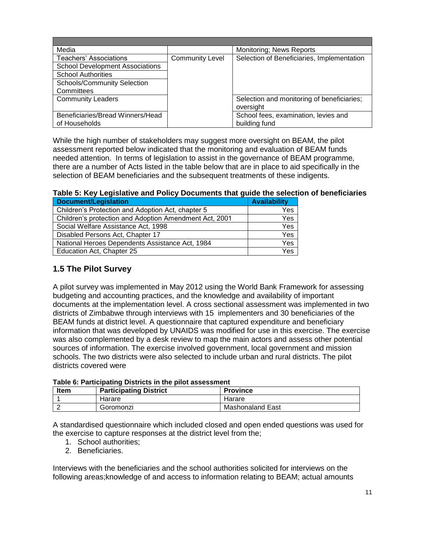| Media                                  |                        | Monitoring; News Reports                   |
|----------------------------------------|------------------------|--------------------------------------------|
| Teachers' Associations                 | <b>Community Level</b> | Selection of Beneficiaries, Implementation |
| <b>School Development Associations</b> |                        |                                            |
| <b>School Authorities</b>              |                        |                                            |
| Schools/Community Selection            |                        |                                            |
| Committees                             |                        |                                            |
| <b>Community Leaders</b>               |                        | Selection and monitoring of beneficiaries; |
|                                        |                        | oversight                                  |
| Beneficiaries/Bread Winners/Head       |                        | School fees, examination, levies and       |
| of Households                          |                        | building fund                              |

While the high number of stakeholders may suggest more oversight on BEAM, the pilot assessment reported below indicated that the monitoring and evaluation of BEAM funds needed attention. In terms of legislation to assist in the governance of BEAM programme, there are a number of Acts listed in the table below that are in place to aid specifically in the selection of BEAM beneficiaries and the subsequent treatments of these indigents.

# **Table 5: Key Legislative and Policy Documents that guide the selection of beneficiaries**

| <b>Document/Legislation</b>                            | <b>Availability</b>     |
|--------------------------------------------------------|-------------------------|
| Children's Protection and Adoption Act, chapter 5      | Yes.                    |
| Children's protection and Adoption Amendment Act, 2001 | Yes                     |
| Social Welfare Assistance Act, 1998                    | Yes                     |
| Disabled Persons Act, Chapter 17                       | Yes.                    |
| National Heroes Dependents Assistance Act, 1984        | <b>Yes</b>              |
| Education Act, Chapter 25                              | $\overline{\text{Yes}}$ |

# <span id="page-11-0"></span>**1.5 The Pilot Survey**

A pilot survey was implemented in May 2012 using the World Bank Framework for assessing budgeting and accounting practices, and the knowledge and availability of important documents at the implementation level. A cross sectional assessment was implemented in two districts of Zimbabwe through interviews with 15 implementers and 30 beneficiaries of the BEAM funds at district level. A questionnaire that captured expenditure and beneficiary information that was developed by UNAIDS was modified for use in this exercise. The exercise was also complemented by a desk review to map the main actors and assess other potential sources of information. The exercise involved government, local government and mission schools. The two districts were also selected to include urban and rural districts. The pilot districts covered were

| Table 6. Farticipating Districts In the plict assessment |                               |                  |  |  |
|----------------------------------------------------------|-------------------------------|------------------|--|--|
| <b>Item</b>                                              | <b>Participating District</b> | <b>Province</b>  |  |  |
|                                                          | Harare                        | Harare           |  |  |
|                                                          | Goromonzi                     | Mashonaland East |  |  |

#### **Table 6: Participating Districts in the pilot assessment**

A standardised questionnaire which included closed and open ended questions was used for the exercise to capture responses at the district level from the;

- 1. School authorities;
- 2. Beneficiaries.

Interviews with the beneficiaries and the school authorities solicited for interviews on the following areas;knowledge of and access to information relating to BEAM; actual amounts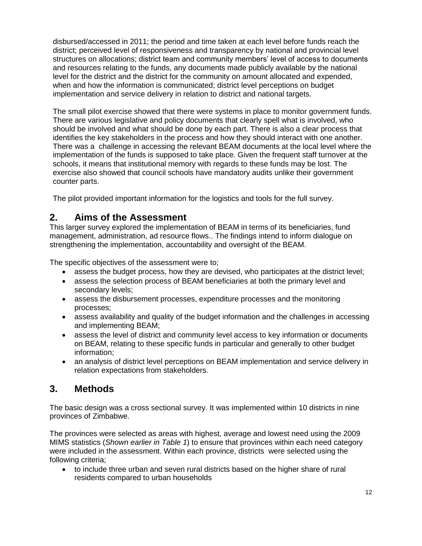disbursed/accessed in 2011; the period and time taken at each level before funds reach the district; perceived level of responsiveness and transparency by national and provincial level structures on allocations; district team and community members' level of access to documents and resources relating to the funds, any documents made publicly available by the national level for the district and the district for the community on amount allocated and expended, when and how the information is communicated; district level perceptions on budget implementation and service delivery in relation to district and national targets.

The small pilot exercise showed that there were systems in place to monitor government funds. There are various legislative and policy documents that clearly spell what is involved, who should be involved and what should be done by each part. There is also a clear process that identifies the key stakeholders in the process and how they should interact with one another. There was a challenge in accessing the relevant BEAM documents at the local level where the implementation of the funds is supposed to take place. Given the frequent staff turnover at the schools, it means that institutional memory with regards to these funds may be lost. The exercise also showed that council schools have mandatory audits unlike their government counter parts.

The pilot provided important information for the logistics and tools for the full survey.

# <span id="page-12-0"></span>**2. Aims of the Assessment**

This larger survey explored the implementation of BEAM in terms of its beneficiaries, fund management, administration, ad resource flows.. The findings intend to inform dialogue on strengthening the implementation, accountability and oversight of the BEAM.

The specific objectives of the assessment were to;

- assess the budget process, how they are devised, who participates at the district level;
- assess the selection process of BEAM beneficiaries at both the primary level and secondary levels;
- assess the disbursement processes, expenditure processes and the monitoring processes;
- assess availability and quality of the budget information and the challenges in accessing and implementing BEAM;
- assess the level of district and community level access to key information or documents on BEAM, relating to these specific funds in particular and generally to other budget information;
- an analysis of district level perceptions on BEAM implementation and service delivery in relation expectations from stakeholders.

# <span id="page-12-1"></span>**3. Methods**

The basic design was a cross sectional survey. It was implemented within 10 districts in nine provinces of Zimbabwe.

The provinces were selected as areas with highest, average and lowest need using the 2009 MIMS statistics (*Shown earlier in Table 1*) to ensure that provinces within each need category were included in the assessment. Within each province, districts were selected using the following criteria;

 to include three urban and seven rural districts based on the higher share of rural residents compared to urban households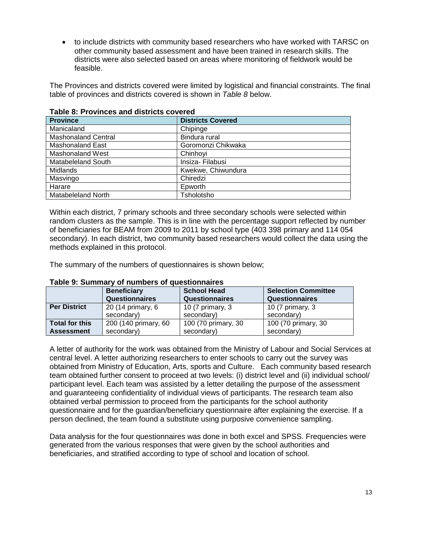• to include districts with community based researchers who have worked with TARSC on other community based assessment and have been trained in research skills. The districts were also selected based on areas where monitoring of fieldwork would be feasible.

The Provinces and districts covered were limited by logistical and financial constraints. The final table of provinces and districts covered is shown in *Table 8* below.

| TADIC 0. FTUVINGS ANU UISUIGLS GUVEIEU |                          |  |  |
|----------------------------------------|--------------------------|--|--|
| <b>Province</b>                        | <b>Districts Covered</b> |  |  |
| Manicaland                             | Chipinge                 |  |  |
| <b>Mashonaland Central</b>             | Bindura rural            |  |  |
| Mashonaland East                       | Goromonzi Chikwaka       |  |  |
| <b>Mashonaland West</b>                | Chinhovi                 |  |  |
| <b>Matabeleland South</b>              | Insiza-Filabusi          |  |  |
| <b>Midlands</b>                        | Kwekwe, Chiwundura       |  |  |
| Masvingo                               | Chiredzi                 |  |  |
| Harare                                 | Epworth                  |  |  |
| <b>Matabeleland North</b>              | Tsholotsho               |  |  |

### **Table 8: Provinces and districts covered**

Within each district, 7 primary schools and three secondary schools were selected within random clusters as the sample. This is in line with the percentage support reflected by number of beneficiaries for BEAM from 2009 to 2011 by school type (403 398 primary and 114 054 secondary). In each district, two community based researchers would collect the data using the methods explained in this protocol.

The summary of the numbers of questionnaires is shown below;

| Table 9: Summary of humbers of questionnaires |                       |                       |                            |  |  |  |
|-----------------------------------------------|-----------------------|-----------------------|----------------------------|--|--|--|
|                                               | <b>Beneficiary</b>    | <b>School Head</b>    | <b>Selection Committee</b> |  |  |  |
|                                               | <b>Questionnaires</b> | <b>Questionnaires</b> | <b>Questionnaires</b>      |  |  |  |
| <b>Per District</b>                           | 20 (14 primary, 6     | 10 (7 primary, 3      | 10 (7 primary, 3           |  |  |  |
|                                               | secondary)            | secondary)            | secondary)                 |  |  |  |
| Total for this                                | 200 (140 primary, 60  | 100 (70 primary, 30   | 100 (70 primary, 30        |  |  |  |
| <b>Assessment</b>                             | secondary)            | secondary)            | secondary)                 |  |  |  |

### **Table 9: Summary of numbers of questionnaires**

A letter of authority for the work was obtained from the Ministry of Labour and Social Services at central level. A letter authorizing researchers to enter schools to carry out the survey was obtained from Ministry of Education, Arts, sports and Culture. Each community based research team obtained further consent to proceed at two levels: (i) district level and (ii) individual school/ participant level. Each team was assisted by a letter detailing the purpose of the assessment and guaranteeing confidentiality of individual views of participants. The research team also obtained verbal permission to proceed from the participants for the school authority questionnaire and for the guardian/beneficiary questionnaire after explaining the exercise. If a person declined, the team found a substitute using purposive convenience sampling.

Data analysis for the four questionnaires was done in both excel and SPSS. Frequencies were generated from the various responses that were given by the school authorities and beneficiaries, and stratified according to type of school and location of school.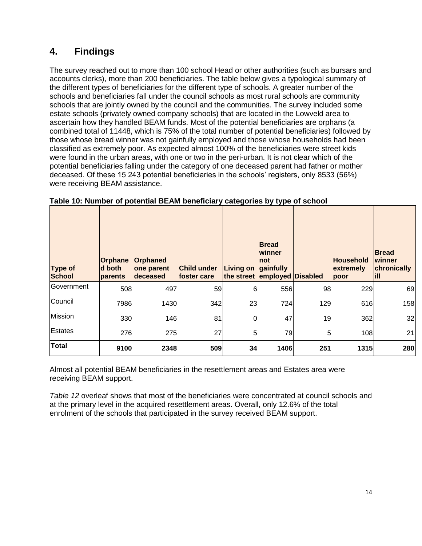# <span id="page-14-0"></span>**4. Findings**

The survey reached out to more than 100 school Head or other authorities (such as bursars and accounts clerks), more than 200 beneficiaries. The table below gives a typological summary of the different types of beneficiaries for the different type of schools. A greater number of the schools and beneficiaries fall under the council schools as most rural schools are community schools that are jointly owned by the council and the communities. The survey included some estate schools (privately owned company schools) that are located in the Lowveld area to ascertain how they handled BEAM funds. Most of the potential beneficiaries are orphans (a combined total of 11448, which is 75% of the total number of potential beneficiaries) followed by those whose bread winner was not gainfully employed and those whose households had been classified as extremely poor. As expected almost 100% of the beneficiaries were street kids were found in the urban areas, with one or two in the peri-urban. It is not clear which of the potential beneficiaries falling under the category of one deceased parent had father or mother deceased. Of these 15 243 potential beneficiaries in the schools' registers, only 8533 (56%) were receiving BEAM assistance.

| Type of<br><b>School</b> | <b>Orphane</b><br>d both<br>parents | Orphaned<br>one parent<br>deceased | <b>Child under</b><br>lfoster care | <b>Living on</b><br>the street | <b>IBread</b><br>lwinner<br>Inot<br>gainfully<br>employed Disabled |     | Household<br>extremely<br>poor | <b>Bread</b><br>lwinner<br>chronically<br>ĦП |
|--------------------------|-------------------------------------|------------------------------------|------------------------------------|--------------------------------|--------------------------------------------------------------------|-----|--------------------------------|----------------------------------------------|
| lGovernment              | 508                                 | 497                                | 59                                 | 6                              | 556                                                                | 98  | 229                            | 69                                           |
| Council                  | 7986                                | 1430                               | 342                                | 23                             | 724                                                                | 129 | 616                            | 158                                          |
| Mission                  | 330                                 | 146                                | 81                                 | 0                              | 47                                                                 | 19  | 362                            | 32                                           |
| Estates                  | 276                                 | 275                                | 27                                 | 5                              | 79                                                                 | 5   | 108                            | 21                                           |
| <b>Total</b>             | 9100                                | 2348                               | 509                                | 34                             | 1406                                                               | 251 | 1315                           | 280                                          |

| Table 10: Number of potential BEAM beneficiary categories by type of school |  |
|-----------------------------------------------------------------------------|--|
|-----------------------------------------------------------------------------|--|

Almost all potential BEAM beneficiaries in the resettlement areas and Estates area were receiving BEAM support.

*Table 12* overleaf shows that most of the beneficiaries were concentrated at council schools and at the primary level in the acquired resettlement areas. Overall, only 12.6% of the total enrolment of the schools that participated in the survey received BEAM support.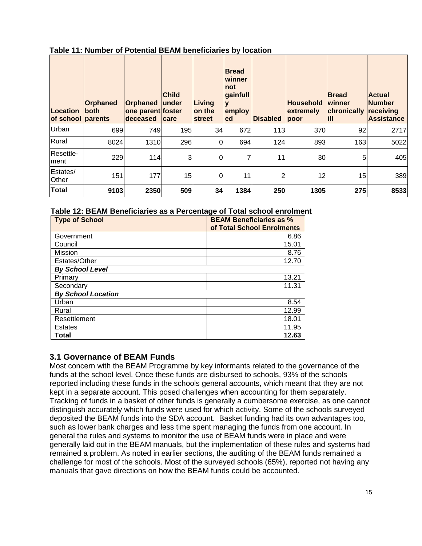| Table 11: Number of Potential BEAM beneficiaries by location |  |
|--------------------------------------------------------------|--|
|--------------------------------------------------------------|--|

| Location<br>of school parents | Orphaned<br>lboth | <b>Orphaned</b><br>one parent foster<br><b>deceased</b> | <b>Child</b><br>lunder<br><b>care</b> | Living<br>lon the<br><b>street</b> | <b>Bread</b><br>winner<br>not<br>gainfull<br>employ<br>led | <b>Disabled</b> | <b>Household</b><br>extremely<br>poor | <b>Bread</b><br>winner<br>chronically<br>lill | <b>Actual</b><br><b>Number</b><br>receiving<br><b>Assistance</b> |
|-------------------------------|-------------------|---------------------------------------------------------|---------------------------------------|------------------------------------|------------------------------------------------------------|-----------------|---------------------------------------|-----------------------------------------------|------------------------------------------------------------------|
| Urban                         | 699               | 749                                                     | 195                                   | 34                                 | 672                                                        | 113             | 370                                   | 92                                            | 2717                                                             |
| Rural                         | 8024              | 1310                                                    | 296                                   | $\overline{0}$                     | 694                                                        | 124             | 893                                   | 163                                           | 5022                                                             |
| Resettle-<br>lment            | 229               | 114                                                     | 3                                     | $\Omega$                           |                                                            | 11              | 30                                    | 5                                             | 405                                                              |
| Estates/<br>Other             | 151               | 177                                                     | 15                                    | $\mathbf 0$                        | 11                                                         | 2               | 12                                    | 15                                            | 389                                                              |
| <b>Total</b>                  | 9103              | 2350                                                    | 509                                   | 34                                 | 1384                                                       | 250             | 1305                                  | 275                                           | 8533                                                             |

#### **Table 12: BEAM Beneficiaries as a Percentage of Total school enrolment**

| <b>Type of School</b>     | <b>BEAM Beneficiaries as %</b><br>of Total School Enrolments |
|---------------------------|--------------------------------------------------------------|
| Government                | 6.86                                                         |
| Council                   | 15.01                                                        |
| <b>Mission</b>            | 8.76                                                         |
| Estates/Other             | 12.70                                                        |
| <b>By School Level</b>    |                                                              |
| Primary                   | 13.21                                                        |
| Secondary                 | 11.31                                                        |
| <b>By School Location</b> |                                                              |
| Urban                     | 8.54                                                         |
| Rural                     | 12.99                                                        |
| Resettlement              | 18.01                                                        |
| Estates                   | 11.95                                                        |
| <b>Total</b>              | 12.63                                                        |

### <span id="page-15-0"></span>**3.1 Governance of BEAM Funds**

Most concern with the BEAM Programme by key informants related to the governance of the funds at the school level. Once these funds are disbursed to schools, 93% of the schools reported including these funds in the schools general accounts, which meant that they are not kept in a separate account. This posed challenges when accounting for them separately. Tracking of funds in a basket of other funds is generally a cumbersome exercise, as one cannot distinguish accurately which funds were used for which activity. Some of the schools surveyed deposited the BEAM funds into the SDA account. Basket funding had its own advantages too, such as lower bank charges and less time spent managing the funds from one account. In general the rules and systems to monitor the use of BEAM funds were in place and were generally laid out in the BEAM manuals, but the implementation of these rules and systems had remained a problem. As noted in earlier sections, the auditing of the BEAM funds remained a challenge for most of the schools. Most of the surveyed schools (65%), reported not having any manuals that gave directions on how the BEAM funds could be accounted.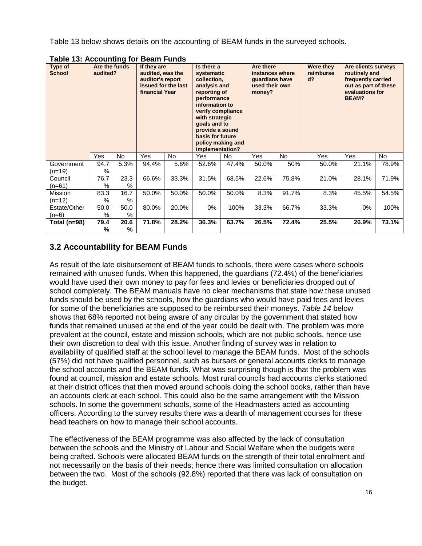Table 13 below shows details on the accounting of BEAM funds in the surveyed schools.

| Type of<br><b>School</b> | Are the funds<br>audited? |                       | If they are<br>audited, was the<br>auditor's report<br>issued for the last<br>financial Year |       | Is there a<br>systematic<br>collection,<br>analysis and<br>reporting of<br>performance<br>information to<br>verify compliance<br>with strategic<br>goals and to<br>provide a sound<br>basis for future<br>implementation? | policy making and | Are there<br>instances where<br>guardians have<br>used their own<br>money?<br><b>Yes</b><br>No. |       | Were they<br>reimburse<br>$d$ ? | Are clients surveys<br>routinely and<br>frequently carried<br>out as part of these<br>evaluations for<br><b>BEAM?</b> |       |
|--------------------------|---------------------------|-----------------------|----------------------------------------------------------------------------------------------|-------|---------------------------------------------------------------------------------------------------------------------------------------------------------------------------------------------------------------------------|-------------------|-------------------------------------------------------------------------------------------------|-------|---------------------------------|-----------------------------------------------------------------------------------------------------------------------|-------|
|                          | <b>Yes</b>                | <b>No</b>             | <b>Yes</b>                                                                                   | No.   | Yes                                                                                                                                                                                                                       | No.               |                                                                                                 |       | <b>Yes</b>                      | <b>Yes</b>                                                                                                            | No.   |
| Government<br>(n=19)     | 94.7<br>$\%$              | 5.3%                  | 94.4%                                                                                        | 5.6%  | 52.6%                                                                                                                                                                                                                     | 47.4%             | 50.0%                                                                                           | 50%   | 50.0%                           | 21.1%                                                                                                                 | 78.9% |
| Council<br>$(n=61)$      | 76.7<br>$\%$              | 23.3<br>$\%$          | 66.6%                                                                                        | 33.3% | 31.5%                                                                                                                                                                                                                     | 68.5%             | 22.6%                                                                                           | 75.8% | 21.0%                           | 28.1%                                                                                                                 | 71.9% |
| Mission<br>$(n=12)$      | 83.3<br>$\%$              | 16.7<br>%             | 50.0%                                                                                        | 50.0% | 50.0%                                                                                                                                                                                                                     | 50.0%             | 8.3%                                                                                            | 91.7% | 8.3%                            | 45.5%                                                                                                                 | 54.5% |
| Estate/Other<br>$(n=6)$  | 50.0<br>$\%$              | 50.0<br>$\%$          | 80.0%                                                                                        | 20.0% | $0\%$                                                                                                                                                                                                                     | 100%              | 33.3%                                                                                           | 66.7% | 33.3%                           | $0\%$                                                                                                                 | 100%  |
| Total (n=98)             | 79.4<br>%                 | 20.6<br>$\frac{0}{0}$ | 71.8%                                                                                        | 28.2% | 36.3%                                                                                                                                                                                                                     | 63.7%             | 26.5%                                                                                           | 72.4% | 25.5%                           | 26.9%                                                                                                                 | 73.1% |

**Table 13: Accounting for Beam Funds**

# <span id="page-16-0"></span>**3.2 Accountability for BEAM Funds**

As result of the late disbursement of BEAM funds to schools, there were cases where schools remained with unused funds. When this happened, the guardians (72.4%) of the beneficiaries would have used their own money to pay for fees and levies or beneficiaries dropped out of school completely. The BEAM manuals have no clear mechanisms that state how these unused funds should be used by the schools, how the guardians who would have paid fees and levies for some of the beneficiaries are supposed to be reimbursed their moneys. *Table 14* below shows that 68% reported not being aware of any circular by the government that stated how funds that remained unused at the end of the year could be dealt with. The problem was more prevalent at the council, estate and mission schools, which are not public schools, hence use their own discretion to deal with this issue. Another finding of survey was in relation to availability of qualified staff at the school level to manage the BEAM funds. Most of the schools (57%) did not have qualified personnel, such as bursars or general accounts clerks to manage the school accounts and the BEAM funds. What was surprising though is that the problem was found at council, mission and estate schools. Most rural councils had accounts clerks stationed at their district offices that then moved around schools doing the school books, rather than have an accounts clerk at each school. This could also be the same arrangement with the Mission schools. In some the government schools, some of the Headmasters acted as accounting officers. According to the survey results there was a dearth of management courses for these head teachers on how to manage their school accounts.

The effectiveness of the BEAM programme was also affected by the lack of consultation between the schools and the Ministry of Labour and Social Welfare when the budgets were being crafted. Schools were allocated BEAM funds on the strength of their total enrolment and not necessarily on the basis of their needs; hence there was limited consultation on allocation between the two. Most of the schools (92.8%) reported that there was lack of consultation on the budget.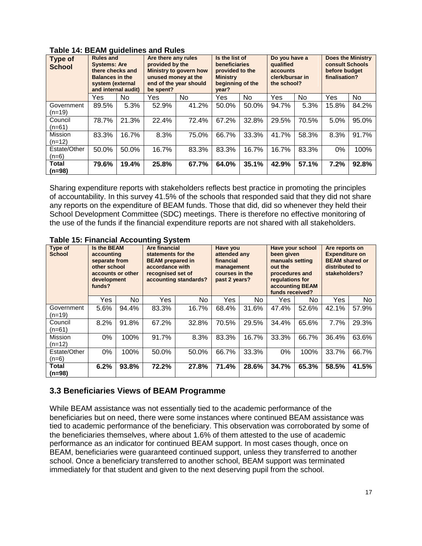| <b>Type of</b><br><b>School</b> | <b>Rules and</b><br><b>Systems: Are</b><br>there checks and<br><b>Balances in the</b><br>system (external<br>and internal audit) |       | Are there any rules<br>provided by the<br><b>Ministry to govern how</b><br>unused money at the<br>end of the year should<br>be spent? |       | Is the list of<br><b>beneficiaries</b><br>provided to the<br><b>Ministry</b><br>beginning of the<br>vear? |       | Do you have a<br>qualified<br>accounts<br>clerk/bursar in<br>the school? |       | <b>Does the Ministry</b><br>consult Schools<br>before budget<br>finalisation? |       |
|---------------------------------|----------------------------------------------------------------------------------------------------------------------------------|-------|---------------------------------------------------------------------------------------------------------------------------------------|-------|-----------------------------------------------------------------------------------------------------------|-------|--------------------------------------------------------------------------|-------|-------------------------------------------------------------------------------|-------|
|                                 | Yes                                                                                                                              | No.   | Yes                                                                                                                                   | No.   | Yes                                                                                                       | No    | Yes                                                                      | No.   | Yes                                                                           | No.   |
| Government<br>$(n=19)$          | 89.5%                                                                                                                            | 5.3%  | 52.9%                                                                                                                                 | 41.2% | 50.0%                                                                                                     | 50.0% | 94.7%                                                                    | 5.3%  | 15.8%                                                                         | 84.2% |
| Council<br>$(n=61)$             | 78.7%                                                                                                                            | 21.3% | 22.4%                                                                                                                                 | 72.4% | 67.2%                                                                                                     | 32.8% | 29.5%                                                                    | 70.5% | 5.0%                                                                          | 95.0% |
| Mission<br>$(n=12)$             | 83.3%                                                                                                                            | 16.7% | 8.3%                                                                                                                                  | 75.0% | 66.7%                                                                                                     | 33.3% | 41.7%                                                                    | 58.3% | 8.3%                                                                          | 91.7% |
| Estate/Other<br>$(n=6)$         | 50.0%                                                                                                                            | 50.0% | 16.7%                                                                                                                                 | 83.3% | 83.3%                                                                                                     | 16.7% | 16.7%                                                                    | 83.3% | 0%                                                                            | 100%  |
| <b>Total</b><br>$(n=98)$        | 79.6%                                                                                                                            | 19.4% | 25.8%                                                                                                                                 | 67.7% | 64.0%                                                                                                     | 35.1% | 42.9%                                                                    | 57.1% | 7.2%                                                                          | 92.8% |

**Table 14: BEAM guidelines and Rules**

Sharing expenditure reports with stakeholders reflects best practice in promoting the principles of accountability. In this survey 41.5% of the schools that responded said that they did not share any reports on the expenditure of BEAM funds. Those that did, did so whenever they held their School Development Committee (SDC) meetings. There is therefore no effective monitoring of the use of the funds if the financial expenditure reports are not shared with all stakeholders.

| Type of<br><b>School</b> | <b>Is the BEAM</b><br>accounting<br>separate from<br>other school<br>accounts or other<br>development<br>funds? |       | <b>Are financial</b><br>statements for the<br><b>BEAM</b> prepared in<br>accordance with<br>recognised set of<br>accounting standards? |       | Have you<br>attended any<br>financial<br>management<br>courses in the<br>past 2 years? |       | Have your school<br>been given<br>manuals setting<br>out the<br>procedures and<br>regulations for<br>accounting BEAM<br>funds received? |       | Are reports on<br><b>Expenditure on</b><br><b>BEAM shared or</b><br>distributed to<br>stakeholders? |       |
|--------------------------|-----------------------------------------------------------------------------------------------------------------|-------|----------------------------------------------------------------------------------------------------------------------------------------|-------|----------------------------------------------------------------------------------------|-------|-----------------------------------------------------------------------------------------------------------------------------------------|-------|-----------------------------------------------------------------------------------------------------|-------|
|                          | Yes                                                                                                             | No.   | Yes                                                                                                                                    | No    | Yes                                                                                    | No.   | Yes.                                                                                                                                    | No.   | Yes                                                                                                 | No.   |
| Government<br>$(n=19)$   | 5.6%                                                                                                            | 94.4% | 83.3%                                                                                                                                  | 16.7% | 68.4%                                                                                  | 31.6% | 47.4%                                                                                                                                   | 52.6% | 42.1%                                                                                               | 57.9% |
| Council<br>(n=61)        | 8.2%                                                                                                            | 91.8% | 67.2%                                                                                                                                  | 32.8% | 70.5%                                                                                  | 29.5% | 34.4%                                                                                                                                   | 65.6% | 7.7%                                                                                                | 29.3% |
| Mission<br>$(n=12)$      | 0%                                                                                                              | 100%  | 91.7%                                                                                                                                  | 8.3%  | 83.3%                                                                                  | 16.7% | 33.3%                                                                                                                                   | 66.7% | 36.4%                                                                                               | 63.6% |
| Estate/Other<br>$(n=6)$  | 0%                                                                                                              | 100%  | 50.0%                                                                                                                                  | 50.0% | 66.7%                                                                                  | 33.3% | 0%                                                                                                                                      | 100%  | 33.7%                                                                                               | 66.7% |
| Total<br>$(n=98)$        | 6.2%                                                                                                            | 93.8% | 72.2%                                                                                                                                  | 27.8% | 71.4%                                                                                  | 28.6% | 34.7%                                                                                                                                   | 65.3% | 58.5%                                                                                               | 41.5% |

**Table 15: Financial Accounting System**

### <span id="page-17-0"></span>**3.3 Beneficiaries Views of BEAM Programme**

While BEAM assistance was not essentially tied to the academic performance of the beneficiaries but on need, there were some instances where continued BEAM assistance was tied to academic performance of the beneficiary. This observation was corroborated by some of the beneficiaries themselves, where about 1.6% of them attested to the use of academic performance as an indicator for continued BEAM support. In most cases though, once on BEAM, beneficiaries were guaranteed continued support, unless they transferred to another school. Once a beneficiary transferred to another school, BEAM support was terminated immediately for that student and given to the next deserving pupil from the school.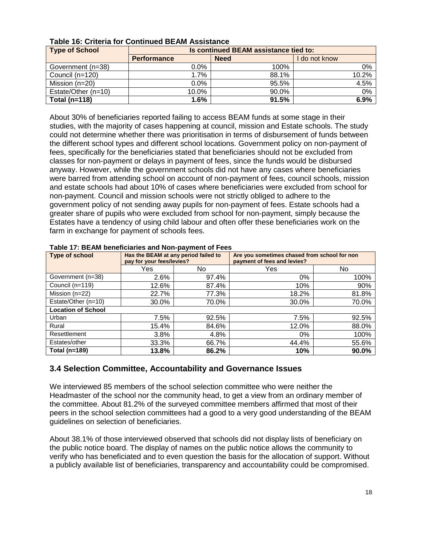| <b>Type of School</b> | Is continued BEAM assistance tied to: |             |       |  |  |  |  |
|-----------------------|---------------------------------------|-------------|-------|--|--|--|--|
|                       | <b>Performance</b>                    | do not know |       |  |  |  |  |
| Government (n=38)     | $0.0\%$                               | 100%        | 0%    |  |  |  |  |
| Council (n=120)       | $1.7\%$                               | 88.1%       | 10.2% |  |  |  |  |
| Mission $(n=20)$      | $0.0\%$                               | 95.5%       | 4.5%  |  |  |  |  |
| Estate/Other (n=10)   | 10.0%                                 | 90.0%       | 0%    |  |  |  |  |
| Total ( $n=118$ )     | 1.6%                                  | 91.5%       | 6.9%  |  |  |  |  |

#### **Table 16: Criteria for Continued BEAM Assistance**

About 30% of beneficiaries reported failing to access BEAM funds at some stage in their studies, with the majority of cases happening at council, mission and Estate schools. The study could not determine whether there was prioritisation in terms of disbursement of funds between the different school types and different school locations. Government policy on non-payment of fees, specifically for the beneficiaries stated that beneficiaries should not be excluded from classes for non-payment or delays in payment of fees, since the funds would be disbursed anyway. However, while the government schools did not have any cases where beneficiaries were barred from attending school on account of non-payment of fees, council schools, mission and estate schools had about 10% of cases where beneficiaries were excluded from school for non-payment. Council and mission schools were not strictly obliged to adhere to the government policy of not sending away pupils for non-payment of fees. Estate schools had a greater share of pupils who were excluded from school for non-payment, simply because the Estates have a tendency of using child labour and often offer these beneficiaries work on the farm in exchange for payment of schools fees.

#### **Type of school Has the BEAM at any period failed to pay for your fees/levies? Are you sometimes chased from school for non payment of fees and levies?** Yes | No | Yes | No Government (n=38) 2.6% 97.4% 0% 0% 100% Council (n=119)  $12.6\%$  87.4% 10% 10% 90% Mission (n=22)  $22.7\%$  77.3% 18.2% 18.2% 81.8% Estate/Other (n=10) 30.0% 70.0% 30.0% 70.0% **Location of School** Urban 7.5% 92.5% 7.5% 92.5% Rural 15.4% | 84.6% | 12.0% | 88.0% Resettlement 3.8% 4.8% 0% 100% Estates/other 33.3% 66.7% 44.4% 55.6% **Total (n=189) 13.8% 86.2% 10% 90.0%**

#### **Table 17: BEAM beneficiaries and Non-payment of Fees**

### <span id="page-18-0"></span>**3.4 Selection Committee, Accountability and Governance Issues**

We interviewed 85 members of the school selection committee who were neither the Headmaster of the school nor the community head, to get a view from an ordinary member of the committee. About 81.2% of the surveyed committee members affirmed that most of their peers in the school selection committees had a good to a very good understanding of the BEAM guidelines on selection of beneficiaries.

About 38.1% of those interviewed observed that schools did not display lists of beneficiary on the public notice board. The display of names on the public notice allows the community to verify who has beneficiated and to even question the basis for the allocation of support. Without a publicly available list of beneficiaries, transparency and accountability could be compromised.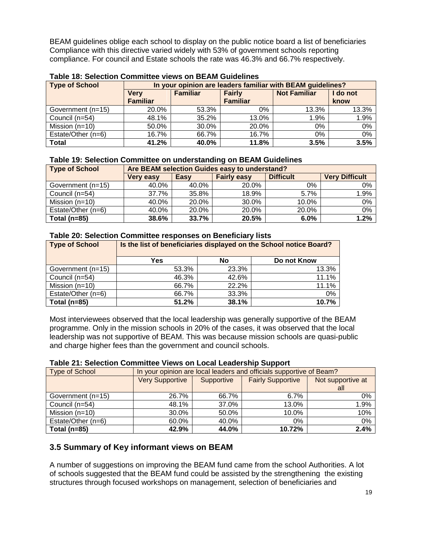BEAM guidelines oblige each school to display on the public notice board a list of beneficiaries Compliance with this directive varied widely with 53% of government schools reporting compliance. For council and Estate schools the rate was 46.3% and 66.7% respectively.

| <b>Type of School</b> |                 | In your opinion are leaders familiar with BEAM guidelines? |                 |                     |          |  |  |  |  |  |
|-----------------------|-----------------|------------------------------------------------------------|-----------------|---------------------|----------|--|--|--|--|--|
|                       | <b>Verv</b>     | <b>Familiar</b>                                            | <b>Fairly</b>   | <b>Not Familiar</b> | I do not |  |  |  |  |  |
|                       | <b>Familiar</b> |                                                            | <b>Familiar</b> |                     | know     |  |  |  |  |  |
| Government (n=15)     | 20.0%           | 53.3%                                                      | 0%              | 13.3%               | 13.3%    |  |  |  |  |  |
| Council (n=54)        | 48.1%           | 35.2%                                                      | 13.0%           | 1.9%                | 1.9%     |  |  |  |  |  |
| Mission $(n=10)$      | 50.0%           | 30.0%                                                      | 20.0%           | $0\%$               | 0%       |  |  |  |  |  |
| Estate/Other (n=6)    | 16.7%           | 66.7%                                                      | 16.7%           | 0%                  | 0%       |  |  |  |  |  |
| <b>Total</b>          | 41.2%           | 40.0%                                                      | 11.8%           | 3.5%                | 3.5%     |  |  |  |  |  |

#### **Table 18: Selection Committee views on BEAM Guidelines**

#### **Table 19: Selection Committee on understanding on BEAM Guidelines**

| <b>Type of School</b> |                  | Are BEAM selection Guides easy to understand? |       |       |       |  |  |  |  |
|-----------------------|------------------|-----------------------------------------------|-------|-------|-------|--|--|--|--|
|                       | <b>Very easy</b> | <b>Very Difficult</b>                         |       |       |       |  |  |  |  |
| Government (n=15)     | 40.0%            | 40.0%                                         | 20.0% | 0%    | $0\%$ |  |  |  |  |
| Council (n=54)        | 37.7%            | 35.8%                                         | 18.9% | 5.7%  | 1.9%  |  |  |  |  |
| Mission $(n=10)$      | 40.0%            | 20.0%                                         | 30.0% | 10.0% | 0%    |  |  |  |  |
| Estate/Other (n=6)    | 40.0%            | 20.0%                                         | 20.0% | 20.0% | 0%    |  |  |  |  |
| Total ( $n=85$ )      | 38.6%            | 33.7%                                         | 20.5% | 6.0%  | 1.2%  |  |  |  |  |

#### **Table 20: Selection Committee responses on Beneficiary lists**

| Type of School     | Is the list of beneficiaries displayed on the School notice Board? |       |             |  |  |  |  |  |
|--------------------|--------------------------------------------------------------------|-------|-------------|--|--|--|--|--|
|                    | Yes                                                                | No    | Do not Know |  |  |  |  |  |
| Government (n=15)  | 53.3%                                                              | 23.3% | 13.3%       |  |  |  |  |  |
| Council (n=54)     | 46.3%                                                              | 42.6% | 11.1%       |  |  |  |  |  |
| Mission (n=10)     | 66.7%                                                              | 22.2% | 11.1%       |  |  |  |  |  |
| Estate/Other (n=6) | 66.7%                                                              | 33.3% | 0%          |  |  |  |  |  |
| Total ( $n=85$ )   | 51.2%                                                              | 38.1% | 10.7%       |  |  |  |  |  |

Most interviewees observed that the local leadership was generally supportive of the BEAM programme. Only in the mission schools in 20% of the cases, it was observed that the local leadership was not supportive of BEAM. This was because mission schools are quasi-public and charge higher fees than the government and council schools.

#### **Table 21: Selection Committee Views on Local Leadership Support**

| <b>Type of School</b> | In your opinion are local leaders and officials supportive of Beam? |            |                          |                   |
|-----------------------|---------------------------------------------------------------------|------------|--------------------------|-------------------|
|                       | <b>Very Supportive</b>                                              | Supportive | <b>Fairly Supportive</b> | Not supportive at |
|                       |                                                                     |            |                          | all               |
| Government (n=15)     | 26.7%                                                               | 66.7%      | $6.7\%$                  | 0%                |
| Council (n=54)        | 48.1%                                                               | 37.0%      | 13.0%                    | 1.9%              |
| Mission $(n=10)$      | 30.0%                                                               | 50.0%      | 10.0%                    | 10%               |
| Estate/Other (n=6)    | 60.0%                                                               | 40.0%      | $0\%$                    | 0%                |
| Total ( $n=85$ )      | 42.9%                                                               | 44.0%      | 10.72%                   | 2.4%              |

### <span id="page-19-0"></span>**3.5 Summary of Key informant views on BEAM**

A number of suggestions on improving the BEAM fund came from the school Authorities. A lot of schools suggested that the BEAM fund could be assisted by the strengthening the existing structures through focused workshops on management, selection of beneficiaries and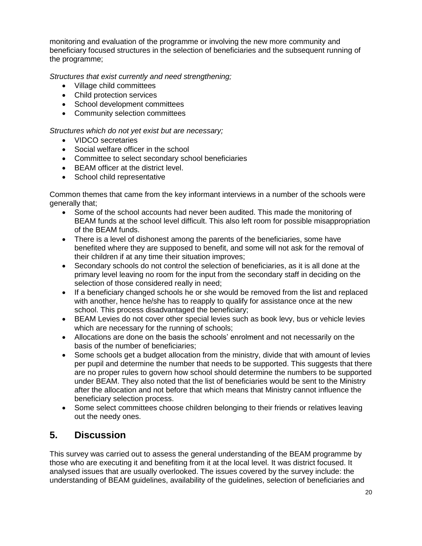monitoring and evaluation of the programme or involving the new more community and beneficiary focused structures in the selection of beneficiaries and the subsequent running of the programme;

*Structures that exist currently and need strengthening;*

- Village child committees
- Child protection services
- School development committees
- Community selection committees

*Structures which do not yet exist but are necessary;*

- VIDCO secretaries
- Social welfare officer in the school
- Committee to select secondary school beneficiaries
- BEAM officer at the district level.
- School child representative

Common themes that came from the key informant interviews in a number of the schools were generally that;

- Some of the school accounts had never been audited. This made the monitoring of BEAM funds at the school level difficult. This also left room for possible misappropriation of the BEAM funds.
- There is a level of dishonest among the parents of the beneficiaries, some have benefited where they are supposed to benefit, and some will not ask for the removal of their children if at any time their situation improves;
- Secondary schools do not control the selection of beneficiaries, as it is all done at the primary level leaving no room for the input from the secondary staff in deciding on the selection of those considered really in need;
- If a beneficiary changed schools he or she would be removed from the list and replaced with another, hence he/she has to reapply to qualify for assistance once at the new school. This process disadvantaged the beneficiary;
- BEAM Levies do not cover other special levies such as book levy, bus or vehicle levies which are necessary for the running of schools;
- Allocations are done on the basis the schools' enrolment and not necessarily on the basis of the number of beneficiaries;
- Some schools get a budget allocation from the ministry, divide that with amount of levies per pupil and determine the number that needs to be supported. This suggests that there are no proper rules to govern how school should determine the numbers to be supported under BEAM. They also noted that the list of beneficiaries would be sent to the Ministry after the allocation and not before that which means that Ministry cannot influence the beneficiary selection process.
- Some select committees choose children belonging to their friends or relatives leaving out the needy ones.

# <span id="page-20-0"></span>**5. Discussion**

This survey was carried out to assess the general understanding of the BEAM programme by those who are executing it and benefiting from it at the local level. It was district focused. It analysed issues that are usually overlooked. The issues covered by the survey include: the understanding of BEAM guidelines, availability of the guidelines, selection of beneficiaries and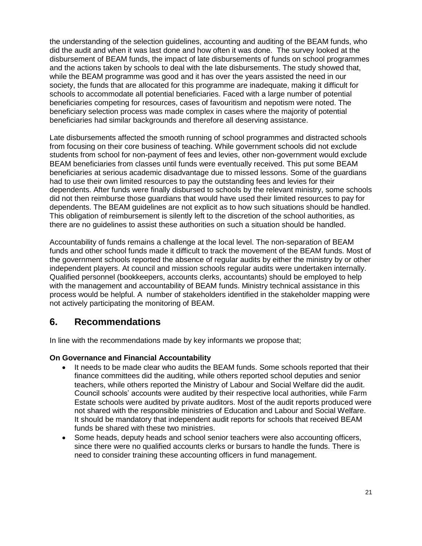the understanding of the selection guidelines, accounting and auditing of the BEAM funds, who did the audit and when it was last done and how often it was done. The survey looked at the disbursement of BEAM funds, the impact of late disbursements of funds on school programmes and the actions taken by schools to deal with the late disbursements. The study showed that, while the BEAM programme was good and it has over the years assisted the need in our society, the funds that are allocated for this programme are inadequate, making it difficult for schools to accommodate all potential beneficiaries. Faced with a large number of potential beneficiaries competing for resources, cases of favouritism and nepotism were noted. The beneficiary selection process was made complex in cases where the majority of potential beneficiaries had similar backgrounds and therefore all deserving assistance.

Late disbursements affected the smooth running of school programmes and distracted schools from focusing on their core business of teaching. While government schools did not exclude students from school for non-payment of fees and levies, other non-government would exclude BEAM beneficiaries from classes until funds were eventually received. This put some BEAM beneficiaries at serious academic disadvantage due to missed lessons. Some of the guardians had to use their own limited resources to pay the outstanding fees and levies for their dependents. After funds were finally disbursed to schools by the relevant ministry, some schools did not then reimburse those guardians that would have used their limited resources to pay for dependents. The BEAM guidelines are not explicit as to how such situations should be handled. This obligation of reimbursement is silently left to the discretion of the school authorities, as there are no guidelines to assist these authorities on such a situation should be handled.

Accountability of funds remains a challenge at the local level. The non-separation of BEAM funds and other school funds made it difficult to track the movement of the BEAM funds. Most of the government schools reported the absence of regular audits by either the ministry by or other independent players. At council and mission schools regular audits were undertaken internally. Qualified personnel (bookkeepers, accounts clerks, accountants) should be employed to help with the management and accountability of BEAM funds. Ministry technical assistance in this process would be helpful. A number of stakeholders identified in the stakeholder mapping were not actively participating the monitoring of BEAM.

# <span id="page-21-0"></span>**6. Recommendations**

In line with the recommendations made by key informants we propose that;

#### **On Governance and Financial Accountability**

- It needs to be made clear who audits the BEAM funds. Some schools reported that their finance committees did the auditing, while others reported school deputies and senior teachers, while others reported the Ministry of Labour and Social Welfare did the audit. Council schools' accounts were audited by their respective local authorities, while Farm Estate schools were audited by private auditors. Most of the audit reports produced were not shared with the responsible ministries of Education and Labour and Social Welfare. It should be mandatory that independent audit reports for schools that received BEAM funds be shared with these two ministries.
- Some heads, deputy heads and school senior teachers were also accounting officers, since there were no qualified accounts clerks or bursars to handle the funds. There is need to consider training these accounting officers in fund management.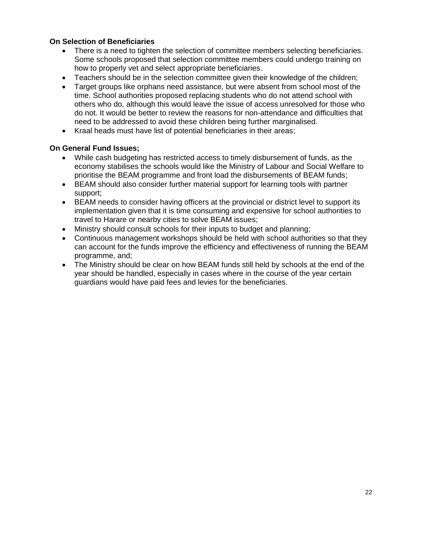### **On Selection of Beneficiaries**

- There is a need to tighten the selection of committee members selecting beneficiaries. Some schools proposed that selection committee members could undergo training on how to properly vet and select appropriate beneficiaries.
- Teachers should be in the selection committee given their knowledge of the children;
- Target groups like orphans need assistance, but were absent from school most of the time. School authorities proposed replacing students who do not attend school with others who do, although this would leave the issue of access unresolved for those who do not. It would be better to review the reasons for non-attendance and difficulties that need to be addressed to avoid these children being further marginalised.
- Kraal heads must have list of potential beneficiaries in their areas;

#### **On General Fund Issues;**

- While cash budgeting has restricted access to timely disbursement of funds, as the economy stabilises the schools would like the Ministry of Labour and Social Welfare to prioritise the BEAM programme and front load the disbursements of BEAM funds;
- BEAM should also consider further material support for learning tools with partner support;
- BEAM needs to consider having officers at the provincial or district level to support its implementation given that it is time consuming and expensive for school authorities to travel to Harare or nearby cities to solve BEAM issues;
- Ministry should consult schools for their inputs to budget and planning;
- Continuous management workshops should be held with school authorities so that they can account for the funds improve the efficiency and effectiveness of running the BEAM programme, and;
- The Ministry should be clear on how BEAM funds still held by schools at the end of the year should be handled, especially in cases where in the course of the year certain guardians would have paid fees and levies for the beneficiaries.